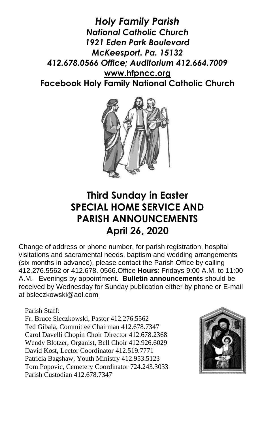*Holy Family Parish National Catholic Church 1921 Eden Park Boulevard McKeesport. Pa. 15132 412.678.0566 Office; Auditorium 412.664.7009* **[www.hfpncc.org](http://www.hfpncc.org/) Facebook Holy Family National Catholic Church**



# **Third Sunday in Easter SPECIAL HOME SERVICE AND PARISH ANNOUNCEMENTS April 26, 2020**

Change of address or phone number, for parish registration, hospital visitations and sacramental needs, baptism and wedding arrangements (six months in advance), please contact the Parish Office by calling 412.276.5562 or 412.678. 0566.Office **Hours**: Fridays 9:00 A.M. to 11:00 A.M. Evenings by appointment. **Bulletin announcements** should be received by Wednesday for Sunday publication either by phone or E-mail at [bsleczkowski@aol.com](mailto:bsleczkowski@aol.com)

Parish Staff:

Fr. Bruce Sleczkowski, Pastor 412.276.5562 Ted Gibala, Committee Chairman 412.678.7347 Carol Davelli Chopin Choir Director 412.678.2368 Wendy Blotzer, Organist, Bell Choir 412.926.6029 David Kost, Lector Coordinator 412.519.7771 Patricia Bagshaw, Youth Ministry 412.953.5123 Tom Popovic, Cemetery Coordinator 724.243.3033 Parish Custodian 412.678.7347

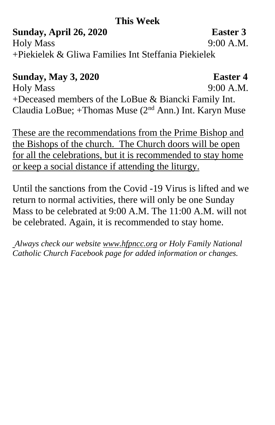## **This Week**

**Sunday, April 26, 2020 Easter 3** Holy Mass 9:00 A.M. +Piekielek & Gliwa Families Int Steffania Piekielek

# **Sunday, May 3, 2020 Easter 4**

Holy Mass 9:00 A.M. +Deceased members of the LoBue & Biancki Family Int. Claudia LoBue; +Thomas Muse  $(2<sup>nd</sup> Ann.)$  Int. Karyn Muse

These are the recommendations from the Prime Bishop and the Bishops of the church. The Church doors will be open for all the celebrations, but it is recommended to stay home or keep a social distance if attending the liturgy.

Until the sanctions from the Covid -19 Virus is lifted and we return to normal activities, there will only be one Sunday Mass to be celebrated at 9:00 A.M. The 11:00 A.M. will not be celebrated. Again, it is recommended to stay home.

*Always check our website [www.hfpncc.org](http://www.hfpncc.org/) or Holy Family National Catholic Church Facebook page for added information or changes.*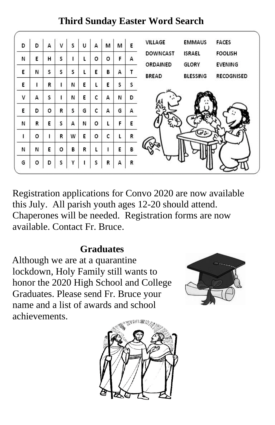### **FACES** VILLAGE **EMMAUS** D D A  $\mathbf{v}$ s Ù A M M E **DOWNCAST** ISRAEL **FOOLISH** s Ľ. o  $\circ$ Ë N E H Ë A ORDAINED **GLORY EVENING** Ń s s Ľ. Ë E. s B A T **BREAD BLESSING RECOGNISED** N E. t s E. L R Þ E S s. N Ė. c Ň D V A Ė A Ē. D o R Ś G c A G A F N o Ė N R E. s A L Ē. o Ŀ R W o c t. R Ľ N Ē. o R. R Ľ E B N L G o D S ٧ S R A R

**Third Sunday Easter Word Search** 

Registration applications for Convo 2020 are now available this July. All parish youth ages 12-20 should attend. Chaperones will be needed. Registration forms are now available. Contact Fr. Bruce.

# **Graduates**

 Although we are at a quarantine lockdown, Holy Family still wants to honor the 2020 High School and College Graduates. Please send Fr. Bruce your name and a list of awards and school achievements.



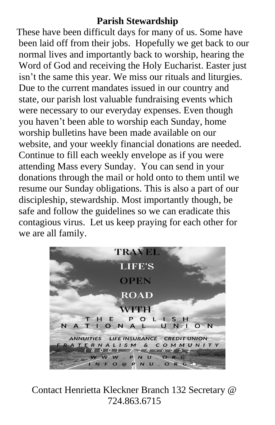### **Parish Stewardship**

 These have been difficult days for many of us. Some have been laid off from their jobs. Hopefully we get back to our normal lives and importantly back to worship, hearing the Word of God and receiving the Holy Eucharist. Easter just isn't the same this year. We miss our rituals and liturgies. Due to the current mandates issued in our country and state, our parish lost valuable fundraising events which were necessary to our everyday expenses. Even though you haven't been able to worship each Sunday, home worship bulletins have been made available on our website, and your weekly financial donations are needed. Continue to fill each weekly envelope as if you were attending Mass every Sunday. You can send in your donations through the mail or hold onto to them until we resume our Sunday obligations. This is also a part of our discipleship, stewardship. Most importantly though, be safe and follow the guidelines so we can eradicate this contagious virus. Let us keep praying for each other for we are all family.



Contact Henrietta Kleckner Branch 132 Secretary @ 724.863.6715